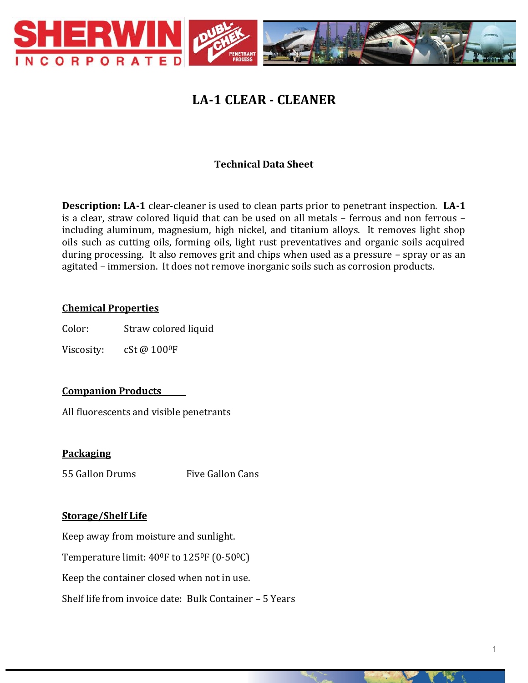

# **LA-1 CLEAR - CLEANER**

# **Technical Data Sheet**

**Description: LA-1** clear-cleaner is used to clean parts prior to penetrant inspection. **LA-1** is a clear, straw colored liquid that can be used on all metals – ferrous and non ferrous – including aluminum, magnesium, high nickel, and titanium alloys. It removes light shop oils such as cutting oils, forming oils, light rust preventatives and organic soils acquired during processing. It also removes grit and chips when used as a pressure – spray or as an agitated – immersion. It does not remove inorganic soils such as corrosion products.

### **Chemical Properties**

Color: Straw colored liquid

Viscosity: cSt @ 100<sup>0</sup>F

# **Companion Products**

All fluorescents and visible penetrants

#### **Packaging**

55 Gallon Drums Five Gallon Cans

#### **Storage/Shelf Life**

Keep away from moisture and sunlight.

Temperature limit:  $40^{\circ}$ F to  $125^{\circ}$ F (0-50 $^{\circ}$ C)

Keep the container closed when not in use.

Shelf life from invoice date: Bulk Container – 5 Years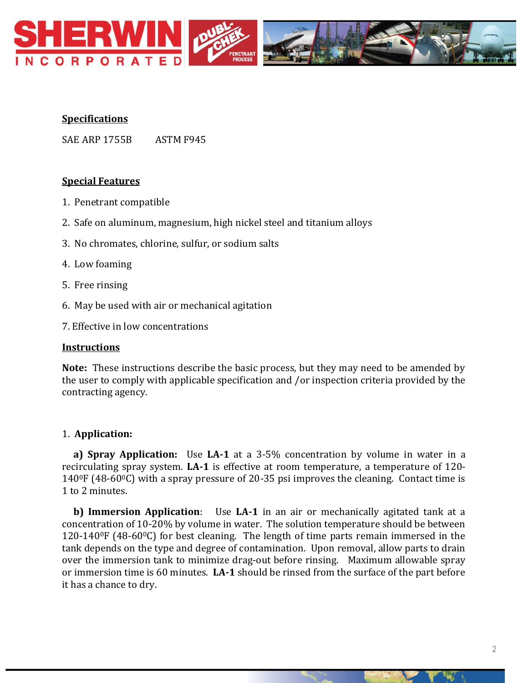

# **Specifications**

SAE ARP 1755B ASTM F945

### **Special Features**

- 1. Penetrant compatible
- 2. Safe on aluminum, magnesium, high nickel steel and titanium alloys
- 3. No chromates, chlorine, sulfur, or sodium salts
- 4. Low foaming
- 5. Free rinsing
- 6. May be used with air or mechanical agitation
- 7. Effective in low concentrations

#### **Instructions**

**Note:** These instructions describe the basic process, but they may need to be amended by the user to comply with applicable specification and /or inspection criteria provided by the contracting agency.

#### 1. **Application:**

 **a) Spray Application:** Use **LA-1** at a 3-5% concentration by volume in water in a recirculating spray system. **LA-1** is effective at room temperature, a temperature of 120-  $140^{\circ}$ F (48-60 $^{\circ}$ C) with a spray pressure of 20-35 psi improves the cleaning. Contact time is 1 to 2 minutes.

 **b) Immersion Application**: Use **LA-1** in an air or mechanically agitated tank at a concentration of 10-20% by volume in water. The solution temperature should be between 120-140 $\degree$ F (48-60 $\degree$ C) for best cleaning. The length of time parts remain immersed in the tank depends on the type and degree of contamination. Upon removal, allow parts to drain over the immersion tank to minimize drag-out before rinsing. Maximum allowable spray or immersion time is 60 minutes. **LA-1** should be rinsed from the surface of the part before it has a chance to dry.